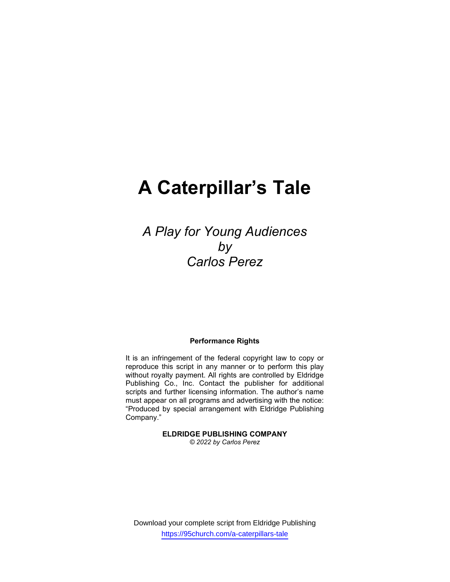# A Caterpillar's Tale

A Play for Young Audiences by Carlos Perez

#### Performance Rights

It is an infringement of the federal copyright law to copy or reproduce this script in any manner or to perform this play without royalty payment. All rights are controlled by Eldridge Publishing Co., Inc. Contact the publisher for additional scripts and further licensing information. The author's name must appear on all programs and advertising with the notice: "Produced by special arrangement with Eldridge Publishing Company."

> ELDRIDGE PUBLISHING COMPANY © 2022 by Carlos Perez

Download your complete script from Eldridge Publishing https://95church.com/a-caterpillars-tale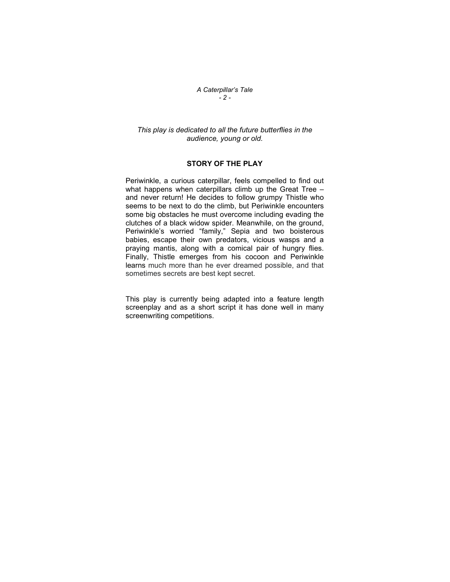A Caterpillar's Tale  $-2 -$ 

# This play is dedicated to all the future butterflies in the audience, young or old.

# STORY OF THE PLAY

Periwinkle, a curious caterpillar, feels compelled to find out what happens when caterpillars climb up the Great Tree – and never return! He decides to follow grumpy Thistle who seems to be next to do the climb, but Periwinkle encounters some big obstacles he must overcome including evading the clutches of a black widow spider. Meanwhile, on the ground, Periwinkle's worried "family," Sepia and two boisterous babies, escape their own predators, vicious wasps and a praying mantis, along with a comical pair of hungry flies. Finally, Thistle emerges from his cocoon and Periwinkle learns much more than he ever dreamed possible, and that sometimes secrets are best kept secret.

This play is currently being adapted into a feature length screenplay and as a short script it has done well in many screenwriting competitions.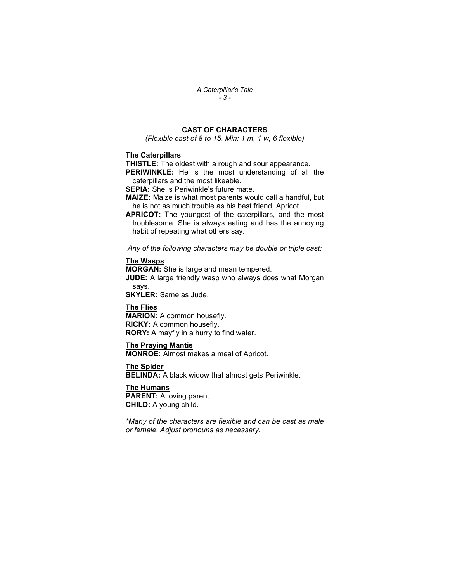#### A Caterpillar's Tale  $-3 -$

# CAST OF CHARACTERS

(Flexible cast of 8 to 15. Min: 1 m, 1 w, 6 flexible)

# The Caterpillars

**THISTLE:** The oldest with a rough and sour appearance.

PERIWINKLE: He is the most understanding of all the caterpillars and the most likeable.

**SEPIA:** She is Periwinkle's future mate.

MAIZE: Maize is what most parents would call a handful, but he is not as much trouble as his best friend, Apricot.

APRICOT: The youngest of the caterpillars, and the most troublesome. She is always eating and has the annoying habit of repeating what others say.

Any of the following characters may be double or triple cast:

#### The Wasps

MORGAN: She is large and mean tempered. **JUDE:** A large friendly wasp who always does what Morgan says.

SKYLER: Same as Jude.

# The Flies

MARION: A common housefly. RICKY: A common housefly. RORY: A mayfly in a hurry to find water.

#### The Praying Mantis

MONROE: Almost makes a meal of Apricot.

The Spider

BELINDA: A black widow that almost gets Periwinkle.

The Humans **PARENT:** A loving parent. CHILD: A young child.

\*Many of the characters are flexible and can be cast as male or female. Adjust pronouns as necessary.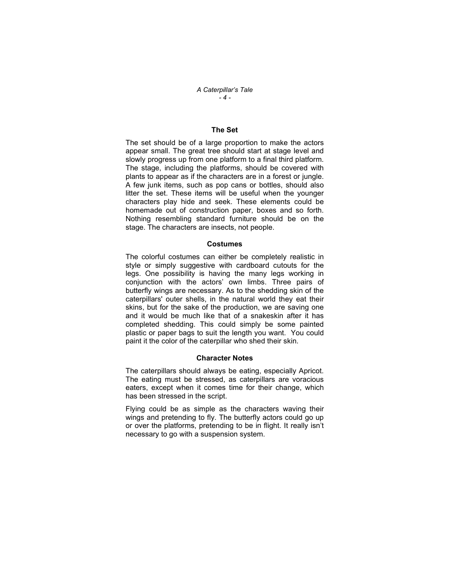#### A Caterpillar's Tale - 4 -

# The Set

The set should be of a large proportion to make the actors appear small. The great tree should start at stage level and slowly progress up from one platform to a final third platform. The stage, including the platforms, should be covered with plants to appear as if the characters are in a forest or jungle. A few junk items, such as pop cans or bottles, should also litter the set. These items will be useful when the younger characters play hide and seek. These elements could be homemade out of construction paper, boxes and so forth. Nothing resembling standard furniture should be on the stage. The characters are insects, not people.

#### Costumes

The colorful costumes can either be completely realistic in style or simply suggestive with cardboard cutouts for the legs. One possibility is having the many legs working in conjunction with the actors' own limbs. Three pairs of butterfly wings are necessary. As to the shedding skin of the caterpillars' outer shells, in the natural world they eat their skins, but for the sake of the production, we are saving one and it would be much like that of a snakeskin after it has completed shedding. This could simply be some painted plastic or paper bags to suit the length you want. You could paint it the color of the caterpillar who shed their skin.

#### Character Notes

The caterpillars should always be eating, especially Apricot. The eating must be stressed, as caterpillars are voracious eaters, except when it comes time for their change, which has been stressed in the script.

Flying could be as simple as the characters waving their wings and pretending to fly. The butterfly actors could go up or over the platforms, pretending to be in flight. It really isn't necessary to go with a suspension system.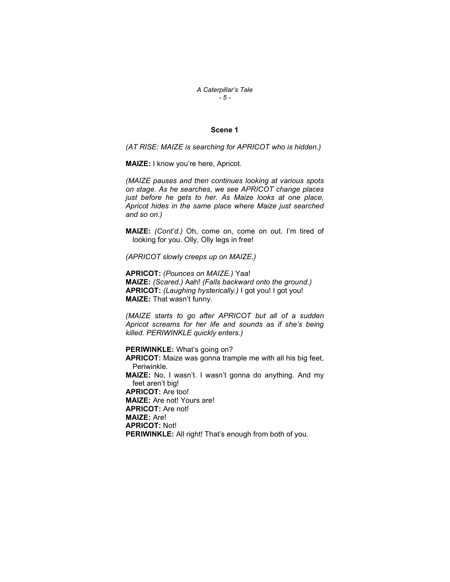A Caterpillar's Tale  $-5 -$ 

# Scene 1

(AT RISE: MAIZE is searching for APRICOT who is hidden.)

MAIZE: I know you're here, Apricot.

(MAIZE pauses and then continues looking at various spots on stage. As he searches, we see APRICOT change places just before he gets to her. As Maize looks at one place, Apricot hides in the same place where Maize just searched and so on.)

MAIZE: (Cont'd.) Oh, come on, come on out. I'm tired of looking for you. Olly, Olly legs in free!

(APRICOT slowly creeps up on MAIZE.)

APRICOT: (Pounces on MAIZE.) Yaa! MAIZE: (Scared.) Aah! (Falls backward onto the ground.) APRICOT: (Laughing hysterically.) I got you! I got you! MAIZE: That wasn't funny.

(MAIZE starts to go after APRICOT but all of a sudden Apricot screams for her life and sounds as if she's being killed. PERIWINKLE quickly enters.)

PERIWINKLE: What's going on? APRICOT: Maize was gonna trample me with all his big feet, Periwinkle. MAIZE: No, I wasn't. I wasn't gonna do anything. And my feet aren't big! APRICOT: Are too! MAIZE: Are not! Yours are! APRICOT: Are not! MAIZE: Are! APRICOT: Not! PERIWINKLE: All right! That's enough from both of you.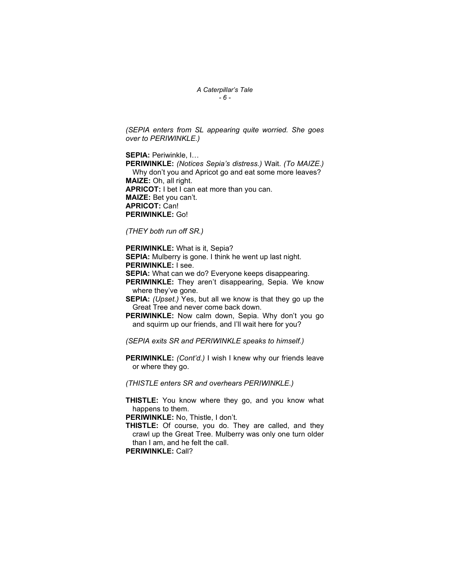#### A Caterpillar's Tale  $-6 -$

(SEPIA enters from SL appearing quite worried. She goes over to PERIWINKLE.)

SEPIA: Periwinkle, I…

PERIWINKLE: (Notices Sepia's distress.) Wait. (To MAIZE.) Why don't you and Apricot go and eat some more leaves? MAIZE: Oh, all right. APRICOT: I bet I can eat more than you can. MAIZE: Bet you can't. APRICOT: Can! PERIWINKLE: Go!

(THEY both run off SR.)

PERIWINKLE: What is it, Sepia?

SEPIA: Mulberry is gone. I think he went up last night. PERIWINKLE: I see.

**SEPIA:** What can we do? Everyone keeps disappearing.

PERIWINKLE: They aren't disappearing, Sepia. We know where they've gone.

SEPIA: (Upset.) Yes, but all we know is that they go up the Great Tree and never come back down.

PERIWINKLE: Now calm down, Sepia. Why don't you go and squirm up our friends, and I'll wait here for you?

(SEPIA exits SR and PERIWINKLE speaks to himself.)

PERIWINKLE: (Cont'd.) I wish I knew why our friends leave or where they go.

(THISTLE enters SR and overhears PERIWINKLE.)

THISTLE: You know where they go, and you know what happens to them.

PERIWINKLE: No. Thistle, I don't.

THISTLE: Of course, you do. They are called, and they crawl up the Great Tree. Mulberry was only one turn older than I am, and he felt the call.

PERIWINKLE: Call?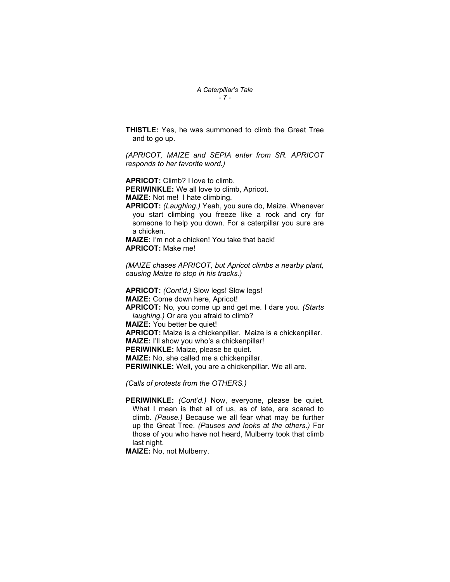#### A Caterpillar's Tale  $-7 -$

THISTLE: Yes, he was summoned to climb the Great Tree and to go up.

(APRICOT, MAIZE and SEPIA enter from SR. APRICOT responds to her favorite word.)

APRICOT: Climb? I love to climb.

PERIWINKLE: We all love to climb, Apricot.

MAIZE: Not me! I hate climbing.

APRICOT: (Laughing.) Yeah, you sure do, Maize. Whenever you start climbing you freeze like a rock and cry for someone to help you down. For a caterpillar you sure are a chicken.

MAIZE: I'm not a chicken! You take that back! APRICOT: Make me!

(MAIZE chases APRICOT, but Apricot climbs a nearby plant, causing Maize to stop in his tracks.)

APRICOT: (Cont'd.) Slow legs! Slow legs! MAIZE: Come down here, Apricot! APRICOT: No, you come up and get me. I dare you. (Starts laughing.) Or are you afraid to climb? MAIZE: You better be quiet! APRICOT: Maize is a chickenpillar. Maize is a chickenpillar. MAIZE: I'll show you who's a chickenpillar! PERIWINKLE: Maize, please be quiet. MAIZE: No, she called me a chickenpillar. PERIWINKLE: Well, you are a chickenpillar. We all are.

(Calls of protests from the OTHERS.)

PERIWINKLE: (Cont'd.) Now, everyone, please be quiet. What I mean is that all of us, as of late, are scared to climb. (Pause.) Because we all fear what may be further up the Great Tree. (Pauses and looks at the others.) For those of you who have not heard, Mulberry took that climb last night.

MAIZE: No, not Mulberry.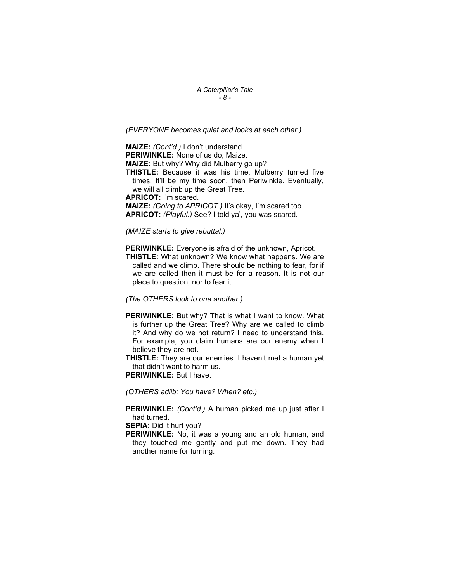A Caterpillar's Tale  $-8-$ 

(EVERYONE becomes quiet and looks at each other.)

MAIZE: (Cont'd.) I don't understand.

PERIWINKLE: None of us do, Maize.

MAIZE: But why? Why did Mulberry go up?

THISTLE: Because it was his time. Mulberry turned five times. It'll be my time soon, then Periwinkle. Eventually, we will all climb up the Great Tree.

APRICOT: I'm scared.

MAIZE: (Going to APRICOT.) It's okay, I'm scared too. APRICOT: (Playful.) See? I told ya', you was scared.

(MAIZE starts to give rebuttal.)

**PERIWINKLE:** Everyone is afraid of the unknown, Apricot.

THISTLE: What unknown? We know what happens. We are called and we climb. There should be nothing to fear, for if we are called then it must be for a reason. It is not our place to question, nor to fear it.

(The OTHERS look to one another.)

PERIWINKLE: But why? That is what I want to know. What is further up the Great Tree? Why are we called to climb it? And why do we not return? I need to understand this. For example, you claim humans are our enemy when I believe they are not.

THISTLE: They are our enemies. I haven't met a human yet that didn't want to harm us.

PERIWINKLE: But I have.

(OTHERS adlib: You have? When? etc.)

PERIWINKLE: (Cont'd.) A human picked me up just after I had turned.

SEPIA: Did it hurt you?

PERIWINKLE: No, it was a young and an old human, and they touched me gently and put me down. They had another name for turning.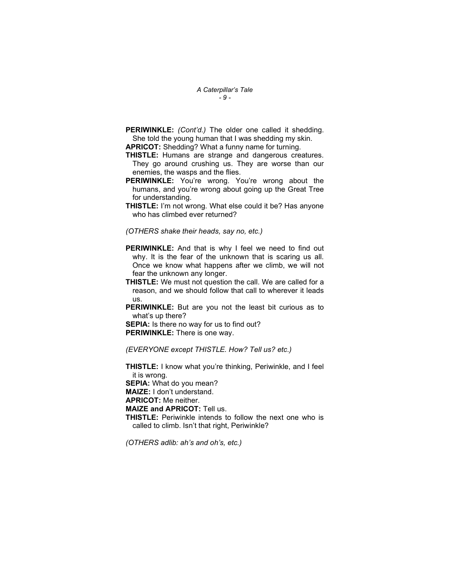A Caterpillar's Tale  $-9 -$ 

PERIWINKLE: (Cont'd.) The older one called it shedding. She told the young human that I was shedding my skin.

APRICOT: Shedding? What a funny name for turning.

- THISTLE: Humans are strange and dangerous creatures. They go around crushing us. They are worse than our enemies, the wasps and the flies.
- PERIWINKLE: You're wrong. You're wrong about the humans, and you're wrong about going up the Great Tree for understanding.
- THISTLE: I'm not wrong. What else could it be? Has anyone who has climbed ever returned?

(OTHERS shake their heads, say no, etc.)

- **PERIWINKLE:** And that is why I feel we need to find out why. It is the fear of the unknown that is scaring us all. Once we know what happens after we climb, we will not fear the unknown any longer.
- THISTLE: We must not question the call. We are called for a reason, and we should follow that call to wherever it leads us.
- PERIWINKLE: But are you not the least bit curious as to what's up there?

SEPIA: Is there no way for us to find out? PERIWINKLE: There is one way.

(EVERYONE except THISTLE. How? Tell us? etc.)

THISTLE: I know what you're thinking, Periwinkle, and I feel it is wrong.

SEPIA: What do you mean?

MAIZE: I don't understand.

APRICOT: Me neither.

MAIZE and APRICOT: Tell us.

THISTLE: Periwinkle intends to follow the next one who is called to climb. Isn't that right, Periwinkle?

(OTHERS adlib: ah's and oh's, etc.)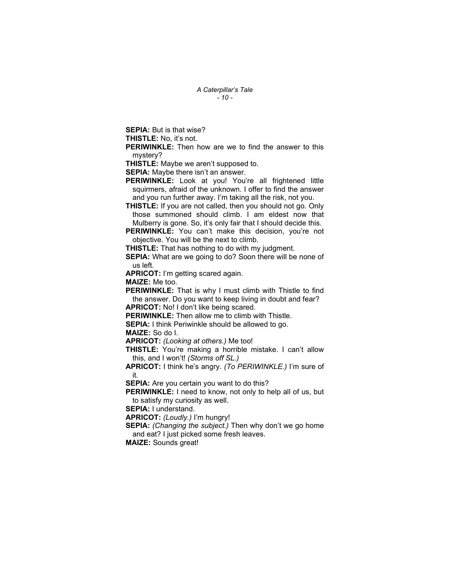A Caterpillar's Tale  $-10-$ 

SEPIA: But is that wise?

THISTLE: No, it's not.

**PERIWINKLE:** Then how are we to find the answer to this mystery?

THISTLE: Maybe we aren't supposed to.

**SEPIA:** Maybe there isn't an answer.

PERIWINKLE: Look at you! You're all frightened little squirmers, afraid of the unknown. I offer to find the answer and you run further away. I'm taking all the risk, not you.

THISTLE: If you are not called, then you should not go. Only those summoned should climb. I am eldest now that Mulberry is gone. So, it's only fair that I should decide this.

PERIWINKLE: You can't make this decision, you're not objective. You will be the next to climb.

**THISTLE:** That has nothing to do with my judgment.

SEPIA: What are we going to do? Soon there will be none of us left.

APRICOT: I'm getting scared again.

MAIZE: Me too.

PERIWINKLE: That is why I must climb with Thistle to find the answer. Do you want to keep living in doubt and fear? APRICOT: No! I don't like being scared.

PERIWINKLE: Then allow me to climb with Thistle.

SEPIA: I think Periwinkle should be allowed to go.

MAIZE: So do I.

APRICOT: (Looking at others.) Me too!

THISTLE: You're making a horrible mistake. I can't allow this, and I won't! (Storms off SL.)

APRICOT: I think he's angry. (To PERIWINKLE.) I'm sure of it.

SEPIA: Are you certain you want to do this?

PERIWINKLE: I need to know, not only to help all of us, but to satisfy my curiosity as well.

SEPIA: I understand.

APRICOT: (Loudly.) I'm hungry!

SEPIA: (Changing the subject.) Then why don't we go home and eat? I just picked some fresh leaves.

MAIZE: Sounds great!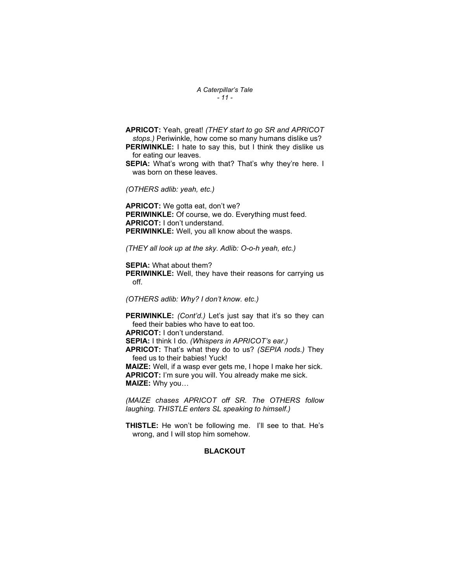#### A Caterpillar's Tale  $-11-$

APRICOT: Yeah, great! (THEY start to go SR and APRICOT stops.) Periwinkle, how come so many humans dislike us? PERIWINKLE: I hate to say this, but I think they dislike us for eating our leaves. SEPIA: What's wrong with that? That's why they're here. I was born on these leaves. (OTHERS adlib: yeah, etc.)

APRICOT: We gotta eat, don't we? PERIWINKLE: Of course, we do. Everything must feed. APRICOT: I don't understand. PERIWINKLE: Well, you all know about the wasps.

(THEY all look up at the sky. Adlib: O-o-h yeah, etc.)

SEPIA: What about them? **PERIWINKLE:** Well, they have their reasons for carrying us off.

(OTHERS adlib: Why? I don't know. etc.)

PERIWINKLE: (Cont'd.) Let's just say that it's so they can feed their babies who have to eat too. APRICOT: I don't understand. SEPIA: I think I do. (Whispers in APRICOT's ear.) APRICOT: That's what they do to us? (SEPIA nods.) They feed us to their babies! Yuck! MAIZE: Well, if a wasp ever gets me, I hope I make her sick. APRICOT: I'm sure you will. You already make me sick. MAIZE: Why you…

(MAIZE chases APRICOT off SR. The OTHERS follow laughing. THISTLE enters SL speaking to himself.)

THISTLE: He won't be following me. I'll see to that. He's wrong, and I will stop him somehow.

# **BLACKOUT**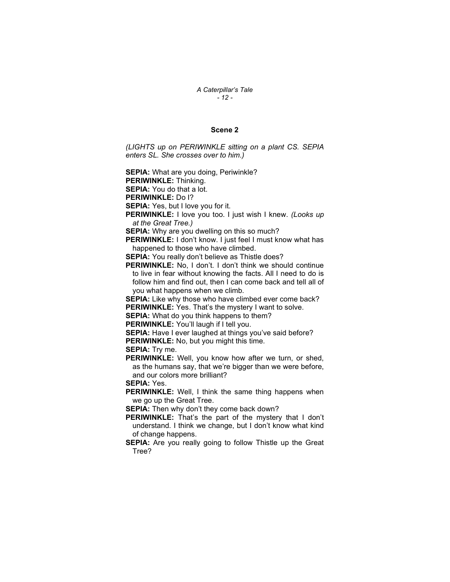# A Caterpillar's Tale - 12 -

# Scene 2

(LIGHTS up on PERIWINKLE sitting on a plant CS. SEPIA enters SL. She crosses over to him.)

**SEPIA:** What are you doing, Periwinkle?

PERIWINKLE: Thinking.

SEPIA: You do that a lot.

PERIWINKLE: Do I?

SEPIA: Yes, but I love you for it.

PERIWINKLE: I love you too. I just wish I knew. (Looks up at the Great Tree.)

**SEPIA:** Why are you dwelling on this so much?

PERIWINKLE: I don't know. I just feel I must know what has happened to those who have climbed.

SEPIA: You really don't believe as Thistle does?

PERIWINKLE: No, I don't. I don't think we should continue to live in fear without knowing the facts. All I need to do is follow him and find out, then I can come back and tell all of you what happens when we climb.

SEPIA: Like why those who have climbed ever come back? PERIWINKLE: Yes. That's the mystery I want to solve.

SEPIA: What do you think happens to them?

PERIWINKLE: You'll laugh if I tell you.

SEPIA: Have I ever laughed at things you've said before?

**PERIWINKLE:** No, but you might this time.

SEPIA: Trv me.

PERIWINKLE: Well, you know how after we turn, or shed, as the humans say, that we're bigger than we were before, and our colors more brilliant?

SEPIA: Yes.

PERIWINKLE: Well, I think the same thing happens when we go up the Great Tree.

SEPIA: Then why don't they come back down?

- PERIWINKLE: That's the part of the mystery that I don't understand. I think we change, but I don't know what kind of change happens.
- SEPIA: Are you really going to follow Thistle up the Great Tree?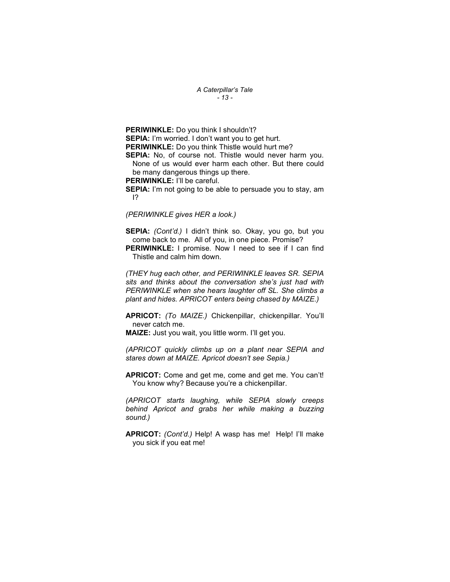A Caterpillar's Tale - 13 -

PERIWINKLE: Do you think I shouldn't? SEPIA: I'm worried. I don't want you to get hurt. PERIWINKLE: Do you think Thistle would hurt me? SEPIA: No, of course not. Thistle would never harm you.

None of us would ever harm each other. But there could be many dangerous things up there.

PERIWINKLE: I'll be careful.

**SEPIA:** I'm not going to be able to persuade you to stay, am I?

(PERIWINKLE gives HER a look.)

SEPIA: (Cont'd.) I didn't think so. Okay, you go, but you come back to me. All of you, in one piece. Promise?

**PERIWINKLE:** I promise. Now I need to see if I can find Thistle and calm him down.

(THEY hug each other, and PERIWINKLE leaves SR. SEPIA sits and thinks about the conversation she's just had with PERIWINKLE when she hears laughter off SL. She climbs a plant and hides. APRICOT enters being chased by MAIZE.)

APRICOT: (To MAIZE.) Chickenpillar, chickenpillar. You'll never catch me.

MAIZE: Just you wait, you little worm. I'll get you.

(APRICOT quickly climbs up on a plant near SEPIA and stares down at MAIZE. Apricot doesn't see Sepia.)

APRICOT: Come and get me, come and get me. You can't! You know why? Because you're a chickenpillar.

(APRICOT starts laughing, while SEPIA slowly creeps behind Apricot and grabs her while making a buzzing sound.)

APRICOT: (Cont'd.) Help! A wasp has me! Help! I'll make you sick if you eat me!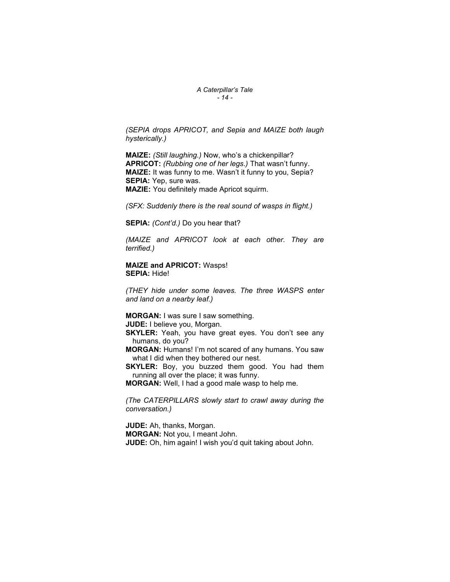#### A Caterpillar's Tale  $-14-$

(SEPIA drops APRICOT, and Sepia and MAIZE both laugh hysterically.)

MAIZE: (Still laughing.) Now, who's a chickenpillar? APRICOT: (Rubbing one of her legs.) That wasn't funny. MAIZE: It was funny to me. Wasn't it funny to you, Sepia? SEPIA: Yep, sure was. MAZIE: You definitely made Apricot squirm.

(SFX: Suddenly there is the real sound of wasps in flight.)

SEPIA: (Cont'd.) Do you hear that?

(MAIZE and APRICOT look at each other. They are terrified.)

MAIZE and APRICOT: Wasps! SEPIA: Hide!

(THEY hide under some leaves. The three WASPS enter and land on a nearby leaf.)

MORGAN: I was sure I saw something.

JUDE: I believe you, Morgan.

- **SKYLER:** Yeah, you have great eyes. You don't see any humans, do you?
- MORGAN: Humans! I'm not scared of any humans. You saw what I did when they bothered our nest.
- **SKYLER:** Boy, you buzzed them good. You had them running all over the place; it was funny.
- MORGAN: Well, I had a good male wasp to help me.

(The CATERPILLARS slowly start to crawl away during the conversation.)

JUDE: Ah, thanks, Morgan. MORGAN: Not you, I meant John. JUDE: Oh, him again! I wish you'd quit taking about John.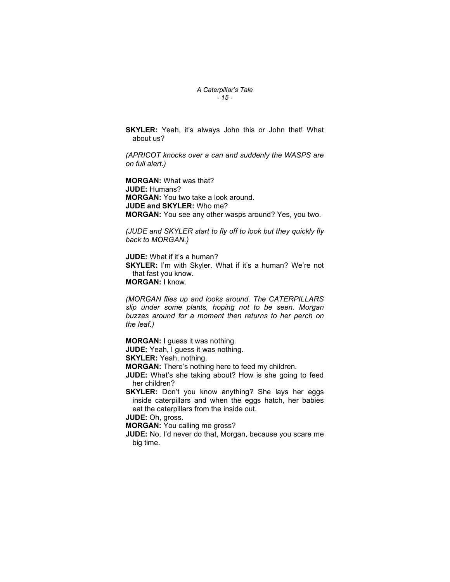# A Caterpillar's Tale - 15 -

SKYLER: Yeah, it's always John this or John that! What about us?

(APRICOT knocks over a can and suddenly the WASPS are on full alert.)

MORGAN: What was that? JUDE: Humans? MORGAN: You two take a look around. JUDE and SKYLER: Who me? MORGAN: You see any other wasps around? Yes, you two.

(JUDE and SKYLER start to fly off to look but they quickly fly back to MORGAN.)

JUDE: What if it's a human?

**SKYLER:** I'm with Skyler. What if it's a human? We're not that fast you know. MORGAN: I know.

(MORGAN flies up and looks around. The CATERPILLARS slip under some plants, hoping not to be seen. Morgan buzzes around for a moment then returns to her perch on the leaf.)

MORGAN: I guess it was nothing.

**JUDE:** Yeah, I guess it was nothing.

SKYLER: Yeah, nothing.

MORGAN: There's nothing here to feed my children.

**JUDE:** What's she taking about? How is she going to feed her children?

**SKYLER:** Don't you know anything? She lays her eggs inside caterpillars and when the eggs hatch, her babies eat the caterpillars from the inside out.

JUDE: Oh, gross.

MORGAN: You calling me gross?

JUDE: No, I'd never do that, Morgan, because you scare me big time.